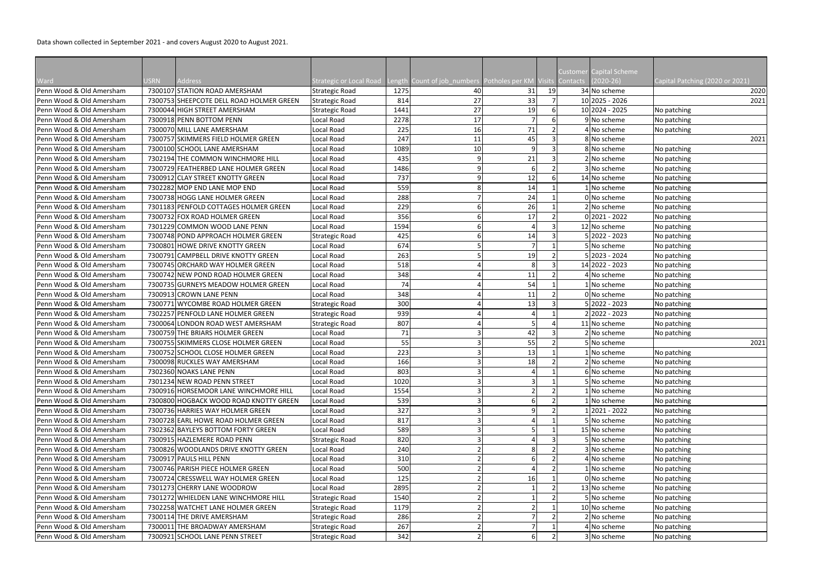Data shown collected in September 2021 - and covers August 2020 to August 2021.

| <b>Customer Capital Scheme</b><br>ength Count of job_numbers Potholes per KM Visits<br>$(2020-26)$<br>Ward<br><b>USRN</b><br><b>Address</b><br>Strategic or Local Road<br><b>Contacts</b><br>Capital Patching (2020 or 2021)<br>Penn Wood & Old Amersham<br>7300107 STATION ROAD AMERSHAM<br>19<br>34 No scheme<br>1275<br>31<br>2020<br><b>Strategic Road</b><br>40<br>27<br>33<br>10 2025 - 2026<br>Penn Wood & Old Amersham<br>814<br>7300753 SHEEPCOTE DELL ROAD HOLMER GREEN<br><b>Strategic Road</b><br>2021<br>27<br>1441<br>19<br>10 2024 - 2025<br>Penn Wood & Old Amersham<br>7300044 HIGH STREET AMERSHAM<br>Strategic Road<br>No patching<br>17<br>2278<br>Penn Wood & Old Amersham<br>7300918 PENN BOTTOM PENN<br>Local Road<br>9 No scheme<br>No patching<br>6<br>225<br>16<br>71<br>Penn Wood & Old Amersham<br>Local Road<br>4 No scheme<br>7300070 MILL LANE AMERSHAM<br>No patching<br>7300757 SKIMMERS FIELD HOLMER GREEN<br>247<br>11<br>45<br>8 No scheme<br>Penn Wood & Old Amersham<br>Local Road<br>2021<br>10<br>7300100 SCHOOL LANE AMERSHAM<br>1089<br>8 No scheme<br>Penn Wood & Old Amersham<br>Local Road<br>No patching<br>21<br>Penn Wood & Old Amersham<br>7302194 THE COMMON WINCHMORE HILL<br>Local Road<br>435<br>2 No scheme<br>No patching<br>Penn Wood & Old Amersham<br>7300729 FEATHERBED LANE HOLMER GREEN<br>Local Road<br>1486<br>3 No scheme<br>No patching<br>12<br>14 No scheme<br>Penn Wood & Old Amersham<br>7300912 CLAY STREET KNOTTY GREEN<br>Local Road<br>737<br>No patching<br>559<br>Penn Wood & Old Amersham<br>7302282 MOP END LANE MOP END<br>14<br>1 No scheme<br>Local Road<br>No patching<br>288<br>24<br>Penn Wood & Old Amersham<br>7300738 HOGG LANE HOLMER GREEN<br>Local Road<br>0 No scheme<br>No patching<br>26<br>7301183 PENFOLD COTTAGES HOLMER GREEN<br>229<br>2 No scheme<br>Penn Wood & Old Amersham<br>Local Road<br>No patching<br>356<br>17<br>$0$  2021 - 2022<br>Penn Wood & Old Amersham<br>7300732 FOX ROAD HOLMER GREEN<br>Local Road<br>No patching<br>1594<br>Penn Wood & Old Amersham<br>7301229 COMMON WOOD LANE PENN<br>Local Road<br>12 No scheme<br>No patching<br>$5 2022 - 2023$<br>Penn Wood & Old Amersham<br>7300748 POND APPROACH HOLMER GREEN<br>Strategic Road<br>No patching<br>425<br>14<br>674<br>5 No scheme<br>Penn Wood & Old Amersham<br>7300801 HOWE DRIVE KNOTTY GREEN<br>Local Road<br>No patching<br>263<br>5 2023 - 2024<br>Penn Wood & Old Amersham<br>7300791 CAMPBELL DRIVE KNOTTY GREEN<br>Local Road<br>19<br>No patching<br>14 2022 - 2023<br>Penn Wood & Old Amersham<br>7300745 ORCHARD WAY HOLMER GREEN<br>518<br>Local Road<br>No patching |                          |
|--------------------------------------------------------------------------------------------------------------------------------------------------------------------------------------------------------------------------------------------------------------------------------------------------------------------------------------------------------------------------------------------------------------------------------------------------------------------------------------------------------------------------------------------------------------------------------------------------------------------------------------------------------------------------------------------------------------------------------------------------------------------------------------------------------------------------------------------------------------------------------------------------------------------------------------------------------------------------------------------------------------------------------------------------------------------------------------------------------------------------------------------------------------------------------------------------------------------------------------------------------------------------------------------------------------------------------------------------------------------------------------------------------------------------------------------------------------------------------------------------------------------------------------------------------------------------------------------------------------------------------------------------------------------------------------------------------------------------------------------------------------------------------------------------------------------------------------------------------------------------------------------------------------------------------------------------------------------------------------------------------------------------------------------------------------------------------------------------------------------------------------------------------------------------------------------------------------------------------------------------------------------------------------------------------------------------------------------------------------------------------------------------------------------------------------------------------------------------------------------------------------------------------------------------------------------------------------------------------------------------------------------------------------------|--------------------------|
|                                                                                                                                                                                                                                                                                                                                                                                                                                                                                                                                                                                                                                                                                                                                                                                                                                                                                                                                                                                                                                                                                                                                                                                                                                                                                                                                                                                                                                                                                                                                                                                                                                                                                                                                                                                                                                                                                                                                                                                                                                                                                                                                                                                                                                                                                                                                                                                                                                                                                                                                                                                                                                                                    |                          |
|                                                                                                                                                                                                                                                                                                                                                                                                                                                                                                                                                                                                                                                                                                                                                                                                                                                                                                                                                                                                                                                                                                                                                                                                                                                                                                                                                                                                                                                                                                                                                                                                                                                                                                                                                                                                                                                                                                                                                                                                                                                                                                                                                                                                                                                                                                                                                                                                                                                                                                                                                                                                                                                                    |                          |
|                                                                                                                                                                                                                                                                                                                                                                                                                                                                                                                                                                                                                                                                                                                                                                                                                                                                                                                                                                                                                                                                                                                                                                                                                                                                                                                                                                                                                                                                                                                                                                                                                                                                                                                                                                                                                                                                                                                                                                                                                                                                                                                                                                                                                                                                                                                                                                                                                                                                                                                                                                                                                                                                    |                          |
|                                                                                                                                                                                                                                                                                                                                                                                                                                                                                                                                                                                                                                                                                                                                                                                                                                                                                                                                                                                                                                                                                                                                                                                                                                                                                                                                                                                                                                                                                                                                                                                                                                                                                                                                                                                                                                                                                                                                                                                                                                                                                                                                                                                                                                                                                                                                                                                                                                                                                                                                                                                                                                                                    |                          |
|                                                                                                                                                                                                                                                                                                                                                                                                                                                                                                                                                                                                                                                                                                                                                                                                                                                                                                                                                                                                                                                                                                                                                                                                                                                                                                                                                                                                                                                                                                                                                                                                                                                                                                                                                                                                                                                                                                                                                                                                                                                                                                                                                                                                                                                                                                                                                                                                                                                                                                                                                                                                                                                                    |                          |
|                                                                                                                                                                                                                                                                                                                                                                                                                                                                                                                                                                                                                                                                                                                                                                                                                                                                                                                                                                                                                                                                                                                                                                                                                                                                                                                                                                                                                                                                                                                                                                                                                                                                                                                                                                                                                                                                                                                                                                                                                                                                                                                                                                                                                                                                                                                                                                                                                                                                                                                                                                                                                                                                    |                          |
|                                                                                                                                                                                                                                                                                                                                                                                                                                                                                                                                                                                                                                                                                                                                                                                                                                                                                                                                                                                                                                                                                                                                                                                                                                                                                                                                                                                                                                                                                                                                                                                                                                                                                                                                                                                                                                                                                                                                                                                                                                                                                                                                                                                                                                                                                                                                                                                                                                                                                                                                                                                                                                                                    |                          |
|                                                                                                                                                                                                                                                                                                                                                                                                                                                                                                                                                                                                                                                                                                                                                                                                                                                                                                                                                                                                                                                                                                                                                                                                                                                                                                                                                                                                                                                                                                                                                                                                                                                                                                                                                                                                                                                                                                                                                                                                                                                                                                                                                                                                                                                                                                                                                                                                                                                                                                                                                                                                                                                                    |                          |
|                                                                                                                                                                                                                                                                                                                                                                                                                                                                                                                                                                                                                                                                                                                                                                                                                                                                                                                                                                                                                                                                                                                                                                                                                                                                                                                                                                                                                                                                                                                                                                                                                                                                                                                                                                                                                                                                                                                                                                                                                                                                                                                                                                                                                                                                                                                                                                                                                                                                                                                                                                                                                                                                    |                          |
|                                                                                                                                                                                                                                                                                                                                                                                                                                                                                                                                                                                                                                                                                                                                                                                                                                                                                                                                                                                                                                                                                                                                                                                                                                                                                                                                                                                                                                                                                                                                                                                                                                                                                                                                                                                                                                                                                                                                                                                                                                                                                                                                                                                                                                                                                                                                                                                                                                                                                                                                                                                                                                                                    |                          |
|                                                                                                                                                                                                                                                                                                                                                                                                                                                                                                                                                                                                                                                                                                                                                                                                                                                                                                                                                                                                                                                                                                                                                                                                                                                                                                                                                                                                                                                                                                                                                                                                                                                                                                                                                                                                                                                                                                                                                                                                                                                                                                                                                                                                                                                                                                                                                                                                                                                                                                                                                                                                                                                                    |                          |
|                                                                                                                                                                                                                                                                                                                                                                                                                                                                                                                                                                                                                                                                                                                                                                                                                                                                                                                                                                                                                                                                                                                                                                                                                                                                                                                                                                                                                                                                                                                                                                                                                                                                                                                                                                                                                                                                                                                                                                                                                                                                                                                                                                                                                                                                                                                                                                                                                                                                                                                                                                                                                                                                    |                          |
|                                                                                                                                                                                                                                                                                                                                                                                                                                                                                                                                                                                                                                                                                                                                                                                                                                                                                                                                                                                                                                                                                                                                                                                                                                                                                                                                                                                                                                                                                                                                                                                                                                                                                                                                                                                                                                                                                                                                                                                                                                                                                                                                                                                                                                                                                                                                                                                                                                                                                                                                                                                                                                                                    |                          |
|                                                                                                                                                                                                                                                                                                                                                                                                                                                                                                                                                                                                                                                                                                                                                                                                                                                                                                                                                                                                                                                                                                                                                                                                                                                                                                                                                                                                                                                                                                                                                                                                                                                                                                                                                                                                                                                                                                                                                                                                                                                                                                                                                                                                                                                                                                                                                                                                                                                                                                                                                                                                                                                                    |                          |
|                                                                                                                                                                                                                                                                                                                                                                                                                                                                                                                                                                                                                                                                                                                                                                                                                                                                                                                                                                                                                                                                                                                                                                                                                                                                                                                                                                                                                                                                                                                                                                                                                                                                                                                                                                                                                                                                                                                                                                                                                                                                                                                                                                                                                                                                                                                                                                                                                                                                                                                                                                                                                                                                    |                          |
|                                                                                                                                                                                                                                                                                                                                                                                                                                                                                                                                                                                                                                                                                                                                                                                                                                                                                                                                                                                                                                                                                                                                                                                                                                                                                                                                                                                                                                                                                                                                                                                                                                                                                                                                                                                                                                                                                                                                                                                                                                                                                                                                                                                                                                                                                                                                                                                                                                                                                                                                                                                                                                                                    |                          |
|                                                                                                                                                                                                                                                                                                                                                                                                                                                                                                                                                                                                                                                                                                                                                                                                                                                                                                                                                                                                                                                                                                                                                                                                                                                                                                                                                                                                                                                                                                                                                                                                                                                                                                                                                                                                                                                                                                                                                                                                                                                                                                                                                                                                                                                                                                                                                                                                                                                                                                                                                                                                                                                                    |                          |
|                                                                                                                                                                                                                                                                                                                                                                                                                                                                                                                                                                                                                                                                                                                                                                                                                                                                                                                                                                                                                                                                                                                                                                                                                                                                                                                                                                                                                                                                                                                                                                                                                                                                                                                                                                                                                                                                                                                                                                                                                                                                                                                                                                                                                                                                                                                                                                                                                                                                                                                                                                                                                                                                    |                          |
|                                                                                                                                                                                                                                                                                                                                                                                                                                                                                                                                                                                                                                                                                                                                                                                                                                                                                                                                                                                                                                                                                                                                                                                                                                                                                                                                                                                                                                                                                                                                                                                                                                                                                                                                                                                                                                                                                                                                                                                                                                                                                                                                                                                                                                                                                                                                                                                                                                                                                                                                                                                                                                                                    |                          |
|                                                                                                                                                                                                                                                                                                                                                                                                                                                                                                                                                                                                                                                                                                                                                                                                                                                                                                                                                                                                                                                                                                                                                                                                                                                                                                                                                                                                                                                                                                                                                                                                                                                                                                                                                                                                                                                                                                                                                                                                                                                                                                                                                                                                                                                                                                                                                                                                                                                                                                                                                                                                                                                                    |                          |
| 348<br>11<br>7300742 NEW POND ROAD HOLMER GREEN<br>Local Road<br>4 No scheme<br>No patching                                                                                                                                                                                                                                                                                                                                                                                                                                                                                                                                                                                                                                                                                                                                                                                                                                                                                                                                                                                                                                                                                                                                                                                                                                                                                                                                                                                                                                                                                                                                                                                                                                                                                                                                                                                                                                                                                                                                                                                                                                                                                                                                                                                                                                                                                                                                                                                                                                                                                                                                                                        | Penn Wood & Old Amersham |
| 54<br>Penn Wood & Old Amersham<br>7300735 GURNEYS MEADOW HOLMER GREEN<br>Local Road<br>74<br>1 No scheme<br>No patching                                                                                                                                                                                                                                                                                                                                                                                                                                                                                                                                                                                                                                                                                                                                                                                                                                                                                                                                                                                                                                                                                                                                                                                                                                                                                                                                                                                                                                                                                                                                                                                                                                                                                                                                                                                                                                                                                                                                                                                                                                                                                                                                                                                                                                                                                                                                                                                                                                                                                                                                            |                          |
| Penn Wood & Old Amersham<br>7300913 CROWN LANE PENN<br>Local Road<br>348<br>11<br>0 No scheme<br>No patching                                                                                                                                                                                                                                                                                                                                                                                                                                                                                                                                                                                                                                                                                                                                                                                                                                                                                                                                                                                                                                                                                                                                                                                                                                                                                                                                                                                                                                                                                                                                                                                                                                                                                                                                                                                                                                                                                                                                                                                                                                                                                                                                                                                                                                                                                                                                                                                                                                                                                                                                                       |                          |
| 300<br>13<br>$5 2022 - 2023$<br>Penn Wood & Old Amersham<br>7300771 WYCOMBE ROAD HOLMER GREEN<br>Strategic Road<br>No patching                                                                                                                                                                                                                                                                                                                                                                                                                                                                                                                                                                                                                                                                                                                                                                                                                                                                                                                                                                                                                                                                                                                                                                                                                                                                                                                                                                                                                                                                                                                                                                                                                                                                                                                                                                                                                                                                                                                                                                                                                                                                                                                                                                                                                                                                                                                                                                                                                                                                                                                                     |                          |
| 939<br>22022 - 2023<br>Penn Wood & Old Amersham<br>7302257 PENFOLD LANE HOLMER GREEN<br>Strategic Road<br>No patching                                                                                                                                                                                                                                                                                                                                                                                                                                                                                                                                                                                                                                                                                                                                                                                                                                                                                                                                                                                                                                                                                                                                                                                                                                                                                                                                                                                                                                                                                                                                                                                                                                                                                                                                                                                                                                                                                                                                                                                                                                                                                                                                                                                                                                                                                                                                                                                                                                                                                                                                              |                          |
| Penn Wood & Old Amersham<br>7300064 LONDON ROAD WEST AMERSHAM<br>Strategic Road<br>807<br>11 No scheme<br>No patching                                                                                                                                                                                                                                                                                                                                                                                                                                                                                                                                                                                                                                                                                                                                                                                                                                                                                                                                                                                                                                                                                                                                                                                                                                                                                                                                                                                                                                                                                                                                                                                                                                                                                                                                                                                                                                                                                                                                                                                                                                                                                                                                                                                                                                                                                                                                                                                                                                                                                                                                              |                          |
| 71<br>42<br>Penn Wood & Old Amersham<br>7300759 THE BRIARS HOLMER GREEN<br>Local Road<br>2 No scheme<br>No patching                                                                                                                                                                                                                                                                                                                                                                                                                                                                                                                                                                                                                                                                                                                                                                                                                                                                                                                                                                                                                                                                                                                                                                                                                                                                                                                                                                                                                                                                                                                                                                                                                                                                                                                                                                                                                                                                                                                                                                                                                                                                                                                                                                                                                                                                                                                                                                                                                                                                                                                                                |                          |
| 55<br>Penn Wood & Old Amersham<br>7300755 SKIMMERS CLOSE HOLMER GREEN<br>Local Road<br>55<br>No scheme<br>2021                                                                                                                                                                                                                                                                                                                                                                                                                                                                                                                                                                                                                                                                                                                                                                                                                                                                                                                                                                                                                                                                                                                                                                                                                                                                                                                                                                                                                                                                                                                                                                                                                                                                                                                                                                                                                                                                                                                                                                                                                                                                                                                                                                                                                                                                                                                                                                                                                                                                                                                                                     |                          |
| Penn Wood & Old Amersham<br>7300752 SCHOOL CLOSE HOLMER GREEN<br>Local Road<br>223<br>13<br>INo scheme<br>No patching                                                                                                                                                                                                                                                                                                                                                                                                                                                                                                                                                                                                                                                                                                                                                                                                                                                                                                                                                                                                                                                                                                                                                                                                                                                                                                                                                                                                                                                                                                                                                                                                                                                                                                                                                                                                                                                                                                                                                                                                                                                                                                                                                                                                                                                                                                                                                                                                                                                                                                                                              |                          |
| 18<br>7300098 RUCKLES WAY AMERSHAM<br>166<br>2 No scheme<br>Penn Wood & Old Amersham<br>Local Road<br>No patching                                                                                                                                                                                                                                                                                                                                                                                                                                                                                                                                                                                                                                                                                                                                                                                                                                                                                                                                                                                                                                                                                                                                                                                                                                                                                                                                                                                                                                                                                                                                                                                                                                                                                                                                                                                                                                                                                                                                                                                                                                                                                                                                                                                                                                                                                                                                                                                                                                                                                                                                                  |                          |
| 6 No scheme<br>Penn Wood & Old Amersham<br>7302360 NOAKS LANE PENN<br>Local Road<br>803<br>No patching                                                                                                                                                                                                                                                                                                                                                                                                                                                                                                                                                                                                                                                                                                                                                                                                                                                                                                                                                                                                                                                                                                                                                                                                                                                                                                                                                                                                                                                                                                                                                                                                                                                                                                                                                                                                                                                                                                                                                                                                                                                                                                                                                                                                                                                                                                                                                                                                                                                                                                                                                             |                          |
| 7301234 NEW ROAD PENN STREET<br>1020<br>No scheme<br>Penn Wood & Old Amersham<br>Local Road<br>No patching                                                                                                                                                                                                                                                                                                                                                                                                                                                                                                                                                                                                                                                                                                                                                                                                                                                                                                                                                                                                                                                                                                                                                                                                                                                                                                                                                                                                                                                                                                                                                                                                                                                                                                                                                                                                                                                                                                                                                                                                                                                                                                                                                                                                                                                                                                                                                                                                                                                                                                                                                         |                          |
| Local Road<br>1554<br>Penn Wood & Old Amersham<br>7300916 HORSEMOOR LANE WINCHMORE HILL<br>1 No scheme<br>No patching                                                                                                                                                                                                                                                                                                                                                                                                                                                                                                                                                                                                                                                                                                                                                                                                                                                                                                                                                                                                                                                                                                                                                                                                                                                                                                                                                                                                                                                                                                                                                                                                                                                                                                                                                                                                                                                                                                                                                                                                                                                                                                                                                                                                                                                                                                                                                                                                                                                                                                                                              |                          |
| 539<br>Penn Wood & Old Amersham<br>7300800 HOGBACK WOOD ROAD KNOTTY GREEN<br>Local Road<br>1 No scheme<br>No patching                                                                                                                                                                                                                                                                                                                                                                                                                                                                                                                                                                                                                                                                                                                                                                                                                                                                                                                                                                                                                                                                                                                                                                                                                                                                                                                                                                                                                                                                                                                                                                                                                                                                                                                                                                                                                                                                                                                                                                                                                                                                                                                                                                                                                                                                                                                                                                                                                                                                                                                                              |                          |
| 7300736 HARRIES WAY HOLMER GREEN<br>327<br>12021 - 2022<br>Penn Wood & Old Amersham<br>Local Road<br>No patching                                                                                                                                                                                                                                                                                                                                                                                                                                                                                                                                                                                                                                                                                                                                                                                                                                                                                                                                                                                                                                                                                                                                                                                                                                                                                                                                                                                                                                                                                                                                                                                                                                                                                                                                                                                                                                                                                                                                                                                                                                                                                                                                                                                                                                                                                                                                                                                                                                                                                                                                                   |                          |
| Local Road<br>817<br>Penn Wood & Old Amersham<br>7300728 EARL HOWE ROAD HOLMER GREEN<br>5 No scheme<br>No patching                                                                                                                                                                                                                                                                                                                                                                                                                                                                                                                                                                                                                                                                                                                                                                                                                                                                                                                                                                                                                                                                                                                                                                                                                                                                                                                                                                                                                                                                                                                                                                                                                                                                                                                                                                                                                                                                                                                                                                                                                                                                                                                                                                                                                                                                                                                                                                                                                                                                                                                                                 |                          |
| 15 No scheme<br>Penn Wood & Old Amersham<br>7302362 BAYLEYS BOTTOM FORTY GREEN<br>Local Road<br>589<br>No patching                                                                                                                                                                                                                                                                                                                                                                                                                                                                                                                                                                                                                                                                                                                                                                                                                                                                                                                                                                                                                                                                                                                                                                                                                                                                                                                                                                                                                                                                                                                                                                                                                                                                                                                                                                                                                                                                                                                                                                                                                                                                                                                                                                                                                                                                                                                                                                                                                                                                                                                                                 |                          |
| Strategic Road<br>820<br>5 No scheme<br>Penn Wood & Old Amersham<br>7300915 HAZLEMERE ROAD PENN<br>No patching                                                                                                                                                                                                                                                                                                                                                                                                                                                                                                                                                                                                                                                                                                                                                                                                                                                                                                                                                                                                                                                                                                                                                                                                                                                                                                                                                                                                                                                                                                                                                                                                                                                                                                                                                                                                                                                                                                                                                                                                                                                                                                                                                                                                                                                                                                                                                                                                                                                                                                                                                     |                          |
| 240<br>Penn Wood & Old Amersham<br>7300826 WOODLANDS DRIVE KNOTTY GREEN<br>Local Road<br>3 No scheme<br>No patching                                                                                                                                                                                                                                                                                                                                                                                                                                                                                                                                                                                                                                                                                                                                                                                                                                                                                                                                                                                                                                                                                                                                                                                                                                                                                                                                                                                                                                                                                                                                                                                                                                                                                                                                                                                                                                                                                                                                                                                                                                                                                                                                                                                                                                                                                                                                                                                                                                                                                                                                                |                          |
| 7300917 PAULS HILL PENN<br>310<br>Penn Wood & Old Amersham<br>Local Road<br>4 No scheme<br>No patching                                                                                                                                                                                                                                                                                                                                                                                                                                                                                                                                                                                                                                                                                                                                                                                                                                                                                                                                                                                                                                                                                                                                                                                                                                                                                                                                                                                                                                                                                                                                                                                                                                                                                                                                                                                                                                                                                                                                                                                                                                                                                                                                                                                                                                                                                                                                                                                                                                                                                                                                                             |                          |
| 500<br>7300746 PARISH PIECE HOLMER GREEN<br>Local Road<br>Penn Wood & Old Amersham<br>1 No scheme<br>No patching                                                                                                                                                                                                                                                                                                                                                                                                                                                                                                                                                                                                                                                                                                                                                                                                                                                                                                                                                                                                                                                                                                                                                                                                                                                                                                                                                                                                                                                                                                                                                                                                                                                                                                                                                                                                                                                                                                                                                                                                                                                                                                                                                                                                                                                                                                                                                                                                                                                                                                                                                   |                          |
| Penn Wood & Old Amersham<br>7300724 CRESSWELL WAY HOLMER GREEN<br>Local Road<br>125<br>16<br>0 No scheme<br>No patching                                                                                                                                                                                                                                                                                                                                                                                                                                                                                                                                                                                                                                                                                                                                                                                                                                                                                                                                                                                                                                                                                                                                                                                                                                                                                                                                                                                                                                                                                                                                                                                                                                                                                                                                                                                                                                                                                                                                                                                                                                                                                                                                                                                                                                                                                                                                                                                                                                                                                                                                            |                          |
| Local Road<br>2895<br>13 No scheme<br>Penn Wood & Old Amersham<br>7301273 CHERRY LANE WOODROW<br>No patching                                                                                                                                                                                                                                                                                                                                                                                                                                                                                                                                                                                                                                                                                                                                                                                                                                                                                                                                                                                                                                                                                                                                                                                                                                                                                                                                                                                                                                                                                                                                                                                                                                                                                                                                                                                                                                                                                                                                                                                                                                                                                                                                                                                                                                                                                                                                                                                                                                                                                                                                                       |                          |
| Penn Wood & Old Amersham<br>7301272 WHIELDEN LANE WINCHMORE HILL<br>Strategic Road<br>1540<br>5 No scheme<br>No patching                                                                                                                                                                                                                                                                                                                                                                                                                                                                                                                                                                                                                                                                                                                                                                                                                                                                                                                                                                                                                                                                                                                                                                                                                                                                                                                                                                                                                                                                                                                                                                                                                                                                                                                                                                                                                                                                                                                                                                                                                                                                                                                                                                                                                                                                                                                                                                                                                                                                                                                                           |                          |
| 7302258 WATCHET LANE HOLMER GREEN<br>1179<br>Penn Wood & Old Amersham<br>Strategic Road<br>10 No scheme<br>No patching                                                                                                                                                                                                                                                                                                                                                                                                                                                                                                                                                                                                                                                                                                                                                                                                                                                                                                                                                                                                                                                                                                                                                                                                                                                                                                                                                                                                                                                                                                                                                                                                                                                                                                                                                                                                                                                                                                                                                                                                                                                                                                                                                                                                                                                                                                                                                                                                                                                                                                                                             |                          |
| 7300114 THE DRIVE AMERSHAM<br>286<br>2 No scheme<br>Penn Wood & Old Amersham<br><b>Strategic Road</b><br>No patching                                                                                                                                                                                                                                                                                                                                                                                                                                                                                                                                                                                                                                                                                                                                                                                                                                                                                                                                                                                                                                                                                                                                                                                                                                                                                                                                                                                                                                                                                                                                                                                                                                                                                                                                                                                                                                                                                                                                                                                                                                                                                                                                                                                                                                                                                                                                                                                                                                                                                                                                               |                          |
| 267<br>Penn Wood & Old Amersham<br>7300011 THE BROADWAY AMERSHAM<br>Strategic Road<br>4 No scheme<br>No patching                                                                                                                                                                                                                                                                                                                                                                                                                                                                                                                                                                                                                                                                                                                                                                                                                                                                                                                                                                                                                                                                                                                                                                                                                                                                                                                                                                                                                                                                                                                                                                                                                                                                                                                                                                                                                                                                                                                                                                                                                                                                                                                                                                                                                                                                                                                                                                                                                                                                                                                                                   |                          |
| 342<br>7300921 SCHOOL LANE PENN STREET<br>Penn Wood & Old Amersham<br>Strategic Road<br>3 No scheme<br>No patching                                                                                                                                                                                                                                                                                                                                                                                                                                                                                                                                                                                                                                                                                                                                                                                                                                                                                                                                                                                                                                                                                                                                                                                                                                                                                                                                                                                                                                                                                                                                                                                                                                                                                                                                                                                                                                                                                                                                                                                                                                                                                                                                                                                                                                                                                                                                                                                                                                                                                                                                                 |                          |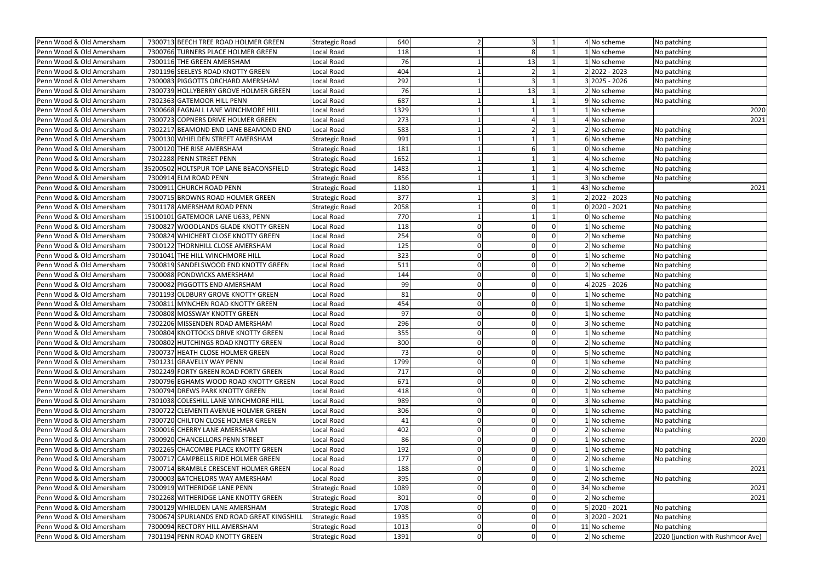| 640<br>4 No scheme<br>Penn Wood & Old Amersham<br>7300713 BEECH TREE ROAD HOLMER GREEN<br>No patching<br><b>Strategic Road</b><br>7300766 TURNERS PLACE HOLMER GREEN<br>118<br>1 No scheme<br>Penn Wood & Old Amersham<br>Local Road<br>No patching<br>7300116 THE GREEN AMERSHAM<br>76<br>13<br>Penn Wood & Old Amersham<br>Local Road<br>1 No scheme<br>No patching<br>22022 - 2023<br>Penn Wood & Old Amersham<br>7301196 SEELEYS ROAD KNOTTY GREEN<br>404<br>Local Road<br>No patching<br>7300083 PIGGOTTS ORCHARD AMERSHAM<br>292<br>3 2025 - 2026<br>Penn Wood & Old Amersham<br>Local Road<br>No patching<br>76<br>13<br>7300739 HOLLYBERRY GROVE HOLMER GREEN<br>2 No scheme<br>Penn Wood & Old Amersham<br>Local Road<br>No patching<br>687<br>Local Road<br>9 No scheme<br>Penn Wood & Old Amersham<br>7302363 GATEMOOR HILL PENN<br>No patching<br>7300668 FAGNALL LANE WINCHMORE HILL<br>1329<br>Penn Wood & Old Amersham<br>Local Road<br>1 No scheme<br>2020<br>273<br>7300723 COPNERS DRIVE HOLMER GREEN<br>4 No scheme<br>Penn Wood & Old Amersham<br>Local Road<br>2021<br>583<br>2 No scheme<br>7302217 BEAMOND END LANE BEAMOND END<br>Penn Wood & Old Amersham<br>Local Road<br>No patching<br>991<br>Penn Wood & Old Amersham<br>7300130 WHIELDEN STREET AMERSHAM<br>6 No scheme<br><b>Strategic Road</b><br>No patching<br>181<br>7300120 THE RISE AMERSHAM<br>Penn Wood & Old Amersham<br>0 No scheme<br><b>Strategic Road</b><br>No patching<br>Penn Wood & Old Amersham<br>7302288 PENN STREET PENN<br>1652<br>4 No scheme<br><b>Strategic Road</b><br>No patching<br>35200502 HOLTSPUR TOP LANE BEACONSFIELD<br>1483<br>Penn Wood & Old Amersham<br><b>Strategic Road</b><br>4 No scheme<br>No patching<br>7300914 ELM ROAD PENN<br>856<br>Penn Wood & Old Amersham<br><b>Strategic Road</b><br>3 No scheme<br>No patching<br>7300911 CHURCH ROAD PENN<br><b>Strategic Road</b><br>1180<br>43 No scheme<br>2021<br>Penn Wood & Old Amersham<br>2 2022 - 2023<br>7300715 BROWNS ROAD HOLMER GREEN<br>377<br>Penn Wood & Old Amersham<br><b>Strategic Road</b><br>No patching<br>2058<br>$0 2020 - 2021$<br>7301178 AMERSHAM ROAD PENN<br>Penn Wood & Old Amersham<br><b>Strategic Road</b><br>No patching<br>770<br>0 No scheme<br>Penn Wood & Old Amersham<br>15100101 GATEMOOR LANE U633, PENN<br>Local Road<br>No patching<br>Penn Wood & Old Amersham<br>7300827 WOODLANDS GLADE KNOTTY GREEN<br>Local Road<br>118<br>1 No scheme<br>No patching<br>254<br>No scheme<br>Penn Wood & Old Amersham<br>7300824 WHICHERT CLOSE KNOTTY GREEN<br>Local Road<br>No patching<br>Penn Wood & Old Amersham<br>7300122 THORNHILL CLOSE AMERSHAM<br>Local Road<br>125<br>2 No scheme<br>$\Omega$<br>No patching<br>323<br>Local Road<br>Penn Wood & Old Amersham<br>7301041 THE HILL WINCHMORE HILL<br>$\Omega$<br>1 No scheme<br>No patching<br>7300819 SANDELSWOOD END KNOTTY GREEN<br>511<br>2 No scheme<br>Penn Wood & Old Amersham<br>Local Road<br>0<br>No patching<br>Penn Wood & Old Amersham<br>7300088 PONDWICKS AMERSHAM<br>Local Road<br>1 No scheme<br>144<br>$\Omega$<br>No patching<br>99<br>4 2025 - 2026<br>Penn Wood & Old Amersham<br>7300082 PIGGOTTS END AMERSHAM<br>Local Road<br>No patching<br>81<br>Penn Wood & Old Amersham<br>7301193 OLDBURY GROVE KNOTTY GREEN<br>Local Road<br>INo scheme<br>No patching<br>7300811 MYNCHEN ROAD KNOTTY GREEN<br>Penn Wood & Old Amersham<br>Local Road<br>454<br>No scheme<br>$\Omega$<br>No patching<br>97<br>7300808 MOSSWAY KNOTTY GREEN<br>Local Road<br>Penn Wood & Old Amersham<br>$\Omega$<br>1 No scheme<br>No patching<br>296<br>3 No scheme<br>Penn Wood & Old Amersham<br>7302206 MISSENDEN ROAD AMERSHAM<br>Local Road<br>No patching<br>7300804 KNOTTOCKS DRIVE KNOTTY GREEN<br>Penn Wood & Old Amersham<br>Local Road<br>355<br>I No scheme<br>No patching |
|----------------------------------------------------------------------------------------------------------------------------------------------------------------------------------------------------------------------------------------------------------------------------------------------------------------------------------------------------------------------------------------------------------------------------------------------------------------------------------------------------------------------------------------------------------------------------------------------------------------------------------------------------------------------------------------------------------------------------------------------------------------------------------------------------------------------------------------------------------------------------------------------------------------------------------------------------------------------------------------------------------------------------------------------------------------------------------------------------------------------------------------------------------------------------------------------------------------------------------------------------------------------------------------------------------------------------------------------------------------------------------------------------------------------------------------------------------------------------------------------------------------------------------------------------------------------------------------------------------------------------------------------------------------------------------------------------------------------------------------------------------------------------------------------------------------------------------------------------------------------------------------------------------------------------------------------------------------------------------------------------------------------------------------------------------------------------------------------------------------------------------------------------------------------------------------------------------------------------------------------------------------------------------------------------------------------------------------------------------------------------------------------------------------------------------------------------------------------------------------------------------------------------------------------------------------------------------------------------------------------------------------------------------------------------------------------------------------------------------------------------------------------------------------------------------------------------------------------------------------------------------------------------------------------------------------------------------------------------------------------------------------------------------------------------------------------------------------------------------------------------------------------------------------------------------------------------------------------------------------------------------------------------------------------------------------------------------------------------------------------------------------------------------------------------------------------------------------------------------------------------------------------------------------------------------------------------------------------------------------------------------------------------------------------------------------------------------------------------------------------------------------------------------------------------------------------------------------------------------|
|                                                                                                                                                                                                                                                                                                                                                                                                                                                                                                                                                                                                                                                                                                                                                                                                                                                                                                                                                                                                                                                                                                                                                                                                                                                                                                                                                                                                                                                                                                                                                                                                                                                                                                                                                                                                                                                                                                                                                                                                                                                                                                                                                                                                                                                                                                                                                                                                                                                                                                                                                                                                                                                                                                                                                                                                                                                                                                                                                                                                                                                                                                                                                                                                                                                                                                                                                                                                                                                                                                                                                                                                                                                                                                                                                                                                                                                          |
|                                                                                                                                                                                                                                                                                                                                                                                                                                                                                                                                                                                                                                                                                                                                                                                                                                                                                                                                                                                                                                                                                                                                                                                                                                                                                                                                                                                                                                                                                                                                                                                                                                                                                                                                                                                                                                                                                                                                                                                                                                                                                                                                                                                                                                                                                                                                                                                                                                                                                                                                                                                                                                                                                                                                                                                                                                                                                                                                                                                                                                                                                                                                                                                                                                                                                                                                                                                                                                                                                                                                                                                                                                                                                                                                                                                                                                                          |
|                                                                                                                                                                                                                                                                                                                                                                                                                                                                                                                                                                                                                                                                                                                                                                                                                                                                                                                                                                                                                                                                                                                                                                                                                                                                                                                                                                                                                                                                                                                                                                                                                                                                                                                                                                                                                                                                                                                                                                                                                                                                                                                                                                                                                                                                                                                                                                                                                                                                                                                                                                                                                                                                                                                                                                                                                                                                                                                                                                                                                                                                                                                                                                                                                                                                                                                                                                                                                                                                                                                                                                                                                                                                                                                                                                                                                                                          |
|                                                                                                                                                                                                                                                                                                                                                                                                                                                                                                                                                                                                                                                                                                                                                                                                                                                                                                                                                                                                                                                                                                                                                                                                                                                                                                                                                                                                                                                                                                                                                                                                                                                                                                                                                                                                                                                                                                                                                                                                                                                                                                                                                                                                                                                                                                                                                                                                                                                                                                                                                                                                                                                                                                                                                                                                                                                                                                                                                                                                                                                                                                                                                                                                                                                                                                                                                                                                                                                                                                                                                                                                                                                                                                                                                                                                                                                          |
|                                                                                                                                                                                                                                                                                                                                                                                                                                                                                                                                                                                                                                                                                                                                                                                                                                                                                                                                                                                                                                                                                                                                                                                                                                                                                                                                                                                                                                                                                                                                                                                                                                                                                                                                                                                                                                                                                                                                                                                                                                                                                                                                                                                                                                                                                                                                                                                                                                                                                                                                                                                                                                                                                                                                                                                                                                                                                                                                                                                                                                                                                                                                                                                                                                                                                                                                                                                                                                                                                                                                                                                                                                                                                                                                                                                                                                                          |
|                                                                                                                                                                                                                                                                                                                                                                                                                                                                                                                                                                                                                                                                                                                                                                                                                                                                                                                                                                                                                                                                                                                                                                                                                                                                                                                                                                                                                                                                                                                                                                                                                                                                                                                                                                                                                                                                                                                                                                                                                                                                                                                                                                                                                                                                                                                                                                                                                                                                                                                                                                                                                                                                                                                                                                                                                                                                                                                                                                                                                                                                                                                                                                                                                                                                                                                                                                                                                                                                                                                                                                                                                                                                                                                                                                                                                                                          |
|                                                                                                                                                                                                                                                                                                                                                                                                                                                                                                                                                                                                                                                                                                                                                                                                                                                                                                                                                                                                                                                                                                                                                                                                                                                                                                                                                                                                                                                                                                                                                                                                                                                                                                                                                                                                                                                                                                                                                                                                                                                                                                                                                                                                                                                                                                                                                                                                                                                                                                                                                                                                                                                                                                                                                                                                                                                                                                                                                                                                                                                                                                                                                                                                                                                                                                                                                                                                                                                                                                                                                                                                                                                                                                                                                                                                                                                          |
|                                                                                                                                                                                                                                                                                                                                                                                                                                                                                                                                                                                                                                                                                                                                                                                                                                                                                                                                                                                                                                                                                                                                                                                                                                                                                                                                                                                                                                                                                                                                                                                                                                                                                                                                                                                                                                                                                                                                                                                                                                                                                                                                                                                                                                                                                                                                                                                                                                                                                                                                                                                                                                                                                                                                                                                                                                                                                                                                                                                                                                                                                                                                                                                                                                                                                                                                                                                                                                                                                                                                                                                                                                                                                                                                                                                                                                                          |
|                                                                                                                                                                                                                                                                                                                                                                                                                                                                                                                                                                                                                                                                                                                                                                                                                                                                                                                                                                                                                                                                                                                                                                                                                                                                                                                                                                                                                                                                                                                                                                                                                                                                                                                                                                                                                                                                                                                                                                                                                                                                                                                                                                                                                                                                                                                                                                                                                                                                                                                                                                                                                                                                                                                                                                                                                                                                                                                                                                                                                                                                                                                                                                                                                                                                                                                                                                                                                                                                                                                                                                                                                                                                                                                                                                                                                                                          |
|                                                                                                                                                                                                                                                                                                                                                                                                                                                                                                                                                                                                                                                                                                                                                                                                                                                                                                                                                                                                                                                                                                                                                                                                                                                                                                                                                                                                                                                                                                                                                                                                                                                                                                                                                                                                                                                                                                                                                                                                                                                                                                                                                                                                                                                                                                                                                                                                                                                                                                                                                                                                                                                                                                                                                                                                                                                                                                                                                                                                                                                                                                                                                                                                                                                                                                                                                                                                                                                                                                                                                                                                                                                                                                                                                                                                                                                          |
|                                                                                                                                                                                                                                                                                                                                                                                                                                                                                                                                                                                                                                                                                                                                                                                                                                                                                                                                                                                                                                                                                                                                                                                                                                                                                                                                                                                                                                                                                                                                                                                                                                                                                                                                                                                                                                                                                                                                                                                                                                                                                                                                                                                                                                                                                                                                                                                                                                                                                                                                                                                                                                                                                                                                                                                                                                                                                                                                                                                                                                                                                                                                                                                                                                                                                                                                                                                                                                                                                                                                                                                                                                                                                                                                                                                                                                                          |
|                                                                                                                                                                                                                                                                                                                                                                                                                                                                                                                                                                                                                                                                                                                                                                                                                                                                                                                                                                                                                                                                                                                                                                                                                                                                                                                                                                                                                                                                                                                                                                                                                                                                                                                                                                                                                                                                                                                                                                                                                                                                                                                                                                                                                                                                                                                                                                                                                                                                                                                                                                                                                                                                                                                                                                                                                                                                                                                                                                                                                                                                                                                                                                                                                                                                                                                                                                                                                                                                                                                                                                                                                                                                                                                                                                                                                                                          |
|                                                                                                                                                                                                                                                                                                                                                                                                                                                                                                                                                                                                                                                                                                                                                                                                                                                                                                                                                                                                                                                                                                                                                                                                                                                                                                                                                                                                                                                                                                                                                                                                                                                                                                                                                                                                                                                                                                                                                                                                                                                                                                                                                                                                                                                                                                                                                                                                                                                                                                                                                                                                                                                                                                                                                                                                                                                                                                                                                                                                                                                                                                                                                                                                                                                                                                                                                                                                                                                                                                                                                                                                                                                                                                                                                                                                                                                          |
|                                                                                                                                                                                                                                                                                                                                                                                                                                                                                                                                                                                                                                                                                                                                                                                                                                                                                                                                                                                                                                                                                                                                                                                                                                                                                                                                                                                                                                                                                                                                                                                                                                                                                                                                                                                                                                                                                                                                                                                                                                                                                                                                                                                                                                                                                                                                                                                                                                                                                                                                                                                                                                                                                                                                                                                                                                                                                                                                                                                                                                                                                                                                                                                                                                                                                                                                                                                                                                                                                                                                                                                                                                                                                                                                                                                                                                                          |
|                                                                                                                                                                                                                                                                                                                                                                                                                                                                                                                                                                                                                                                                                                                                                                                                                                                                                                                                                                                                                                                                                                                                                                                                                                                                                                                                                                                                                                                                                                                                                                                                                                                                                                                                                                                                                                                                                                                                                                                                                                                                                                                                                                                                                                                                                                                                                                                                                                                                                                                                                                                                                                                                                                                                                                                                                                                                                                                                                                                                                                                                                                                                                                                                                                                                                                                                                                                                                                                                                                                                                                                                                                                                                                                                                                                                                                                          |
|                                                                                                                                                                                                                                                                                                                                                                                                                                                                                                                                                                                                                                                                                                                                                                                                                                                                                                                                                                                                                                                                                                                                                                                                                                                                                                                                                                                                                                                                                                                                                                                                                                                                                                                                                                                                                                                                                                                                                                                                                                                                                                                                                                                                                                                                                                                                                                                                                                                                                                                                                                                                                                                                                                                                                                                                                                                                                                                                                                                                                                                                                                                                                                                                                                                                                                                                                                                                                                                                                                                                                                                                                                                                                                                                                                                                                                                          |
|                                                                                                                                                                                                                                                                                                                                                                                                                                                                                                                                                                                                                                                                                                                                                                                                                                                                                                                                                                                                                                                                                                                                                                                                                                                                                                                                                                                                                                                                                                                                                                                                                                                                                                                                                                                                                                                                                                                                                                                                                                                                                                                                                                                                                                                                                                                                                                                                                                                                                                                                                                                                                                                                                                                                                                                                                                                                                                                                                                                                                                                                                                                                                                                                                                                                                                                                                                                                                                                                                                                                                                                                                                                                                                                                                                                                                                                          |
|                                                                                                                                                                                                                                                                                                                                                                                                                                                                                                                                                                                                                                                                                                                                                                                                                                                                                                                                                                                                                                                                                                                                                                                                                                                                                                                                                                                                                                                                                                                                                                                                                                                                                                                                                                                                                                                                                                                                                                                                                                                                                                                                                                                                                                                                                                                                                                                                                                                                                                                                                                                                                                                                                                                                                                                                                                                                                                                                                                                                                                                                                                                                                                                                                                                                                                                                                                                                                                                                                                                                                                                                                                                                                                                                                                                                                                                          |
|                                                                                                                                                                                                                                                                                                                                                                                                                                                                                                                                                                                                                                                                                                                                                                                                                                                                                                                                                                                                                                                                                                                                                                                                                                                                                                                                                                                                                                                                                                                                                                                                                                                                                                                                                                                                                                                                                                                                                                                                                                                                                                                                                                                                                                                                                                                                                                                                                                                                                                                                                                                                                                                                                                                                                                                                                                                                                                                                                                                                                                                                                                                                                                                                                                                                                                                                                                                                                                                                                                                                                                                                                                                                                                                                                                                                                                                          |
|                                                                                                                                                                                                                                                                                                                                                                                                                                                                                                                                                                                                                                                                                                                                                                                                                                                                                                                                                                                                                                                                                                                                                                                                                                                                                                                                                                                                                                                                                                                                                                                                                                                                                                                                                                                                                                                                                                                                                                                                                                                                                                                                                                                                                                                                                                                                                                                                                                                                                                                                                                                                                                                                                                                                                                                                                                                                                                                                                                                                                                                                                                                                                                                                                                                                                                                                                                                                                                                                                                                                                                                                                                                                                                                                                                                                                                                          |
|                                                                                                                                                                                                                                                                                                                                                                                                                                                                                                                                                                                                                                                                                                                                                                                                                                                                                                                                                                                                                                                                                                                                                                                                                                                                                                                                                                                                                                                                                                                                                                                                                                                                                                                                                                                                                                                                                                                                                                                                                                                                                                                                                                                                                                                                                                                                                                                                                                                                                                                                                                                                                                                                                                                                                                                                                                                                                                                                                                                                                                                                                                                                                                                                                                                                                                                                                                                                                                                                                                                                                                                                                                                                                                                                                                                                                                                          |
|                                                                                                                                                                                                                                                                                                                                                                                                                                                                                                                                                                                                                                                                                                                                                                                                                                                                                                                                                                                                                                                                                                                                                                                                                                                                                                                                                                                                                                                                                                                                                                                                                                                                                                                                                                                                                                                                                                                                                                                                                                                                                                                                                                                                                                                                                                                                                                                                                                                                                                                                                                                                                                                                                                                                                                                                                                                                                                                                                                                                                                                                                                                                                                                                                                                                                                                                                                                                                                                                                                                                                                                                                                                                                                                                                                                                                                                          |
|                                                                                                                                                                                                                                                                                                                                                                                                                                                                                                                                                                                                                                                                                                                                                                                                                                                                                                                                                                                                                                                                                                                                                                                                                                                                                                                                                                                                                                                                                                                                                                                                                                                                                                                                                                                                                                                                                                                                                                                                                                                                                                                                                                                                                                                                                                                                                                                                                                                                                                                                                                                                                                                                                                                                                                                                                                                                                                                                                                                                                                                                                                                                                                                                                                                                                                                                                                                                                                                                                                                                                                                                                                                                                                                                                                                                                                                          |
|                                                                                                                                                                                                                                                                                                                                                                                                                                                                                                                                                                                                                                                                                                                                                                                                                                                                                                                                                                                                                                                                                                                                                                                                                                                                                                                                                                                                                                                                                                                                                                                                                                                                                                                                                                                                                                                                                                                                                                                                                                                                                                                                                                                                                                                                                                                                                                                                                                                                                                                                                                                                                                                                                                                                                                                                                                                                                                                                                                                                                                                                                                                                                                                                                                                                                                                                                                                                                                                                                                                                                                                                                                                                                                                                                                                                                                                          |
|                                                                                                                                                                                                                                                                                                                                                                                                                                                                                                                                                                                                                                                                                                                                                                                                                                                                                                                                                                                                                                                                                                                                                                                                                                                                                                                                                                                                                                                                                                                                                                                                                                                                                                                                                                                                                                                                                                                                                                                                                                                                                                                                                                                                                                                                                                                                                                                                                                                                                                                                                                                                                                                                                                                                                                                                                                                                                                                                                                                                                                                                                                                                                                                                                                                                                                                                                                                                                                                                                                                                                                                                                                                                                                                                                                                                                                                          |
|                                                                                                                                                                                                                                                                                                                                                                                                                                                                                                                                                                                                                                                                                                                                                                                                                                                                                                                                                                                                                                                                                                                                                                                                                                                                                                                                                                                                                                                                                                                                                                                                                                                                                                                                                                                                                                                                                                                                                                                                                                                                                                                                                                                                                                                                                                                                                                                                                                                                                                                                                                                                                                                                                                                                                                                                                                                                                                                                                                                                                                                                                                                                                                                                                                                                                                                                                                                                                                                                                                                                                                                                                                                                                                                                                                                                                                                          |
|                                                                                                                                                                                                                                                                                                                                                                                                                                                                                                                                                                                                                                                                                                                                                                                                                                                                                                                                                                                                                                                                                                                                                                                                                                                                                                                                                                                                                                                                                                                                                                                                                                                                                                                                                                                                                                                                                                                                                                                                                                                                                                                                                                                                                                                                                                                                                                                                                                                                                                                                                                                                                                                                                                                                                                                                                                                                                                                                                                                                                                                                                                                                                                                                                                                                                                                                                                                                                                                                                                                                                                                                                                                                                                                                                                                                                                                          |
|                                                                                                                                                                                                                                                                                                                                                                                                                                                                                                                                                                                                                                                                                                                                                                                                                                                                                                                                                                                                                                                                                                                                                                                                                                                                                                                                                                                                                                                                                                                                                                                                                                                                                                                                                                                                                                                                                                                                                                                                                                                                                                                                                                                                                                                                                                                                                                                                                                                                                                                                                                                                                                                                                                                                                                                                                                                                                                                                                                                                                                                                                                                                                                                                                                                                                                                                                                                                                                                                                                                                                                                                                                                                                                                                                                                                                                                          |
|                                                                                                                                                                                                                                                                                                                                                                                                                                                                                                                                                                                                                                                                                                                                                                                                                                                                                                                                                                                                                                                                                                                                                                                                                                                                                                                                                                                                                                                                                                                                                                                                                                                                                                                                                                                                                                                                                                                                                                                                                                                                                                                                                                                                                                                                                                                                                                                                                                                                                                                                                                                                                                                                                                                                                                                                                                                                                                                                                                                                                                                                                                                                                                                                                                                                                                                                                                                                                                                                                                                                                                                                                                                                                                                                                                                                                                                          |
|                                                                                                                                                                                                                                                                                                                                                                                                                                                                                                                                                                                                                                                                                                                                                                                                                                                                                                                                                                                                                                                                                                                                                                                                                                                                                                                                                                                                                                                                                                                                                                                                                                                                                                                                                                                                                                                                                                                                                                                                                                                                                                                                                                                                                                                                                                                                                                                                                                                                                                                                                                                                                                                                                                                                                                                                                                                                                                                                                                                                                                                                                                                                                                                                                                                                                                                                                                                                                                                                                                                                                                                                                                                                                                                                                                                                                                                          |
| 300<br>2 No scheme<br>Penn Wood & Old Amersham<br>7300802 HUTCHINGS ROAD KNOTTY GREEN<br>0<br>No patching<br>Local Road                                                                                                                                                                                                                                                                                                                                                                                                                                                                                                                                                                                                                                                                                                                                                                                                                                                                                                                                                                                                                                                                                                                                                                                                                                                                                                                                                                                                                                                                                                                                                                                                                                                                                                                                                                                                                                                                                                                                                                                                                                                                                                                                                                                                                                                                                                                                                                                                                                                                                                                                                                                                                                                                                                                                                                                                                                                                                                                                                                                                                                                                                                                                                                                                                                                                                                                                                                                                                                                                                                                                                                                                                                                                                                                                  |
| 5 No scheme<br>73<br>Penn Wood & Old Amersham<br>7300737 HEATH CLOSE HOLMER GREEN<br>Local Road<br><sup>0</sup><br>No patching<br>01                                                                                                                                                                                                                                                                                                                                                                                                                                                                                                                                                                                                                                                                                                                                                                                                                                                                                                                                                                                                                                                                                                                                                                                                                                                                                                                                                                                                                                                                                                                                                                                                                                                                                                                                                                                                                                                                                                                                                                                                                                                                                                                                                                                                                                                                                                                                                                                                                                                                                                                                                                                                                                                                                                                                                                                                                                                                                                                                                                                                                                                                                                                                                                                                                                                                                                                                                                                                                                                                                                                                                                                                                                                                                                                     |
| 1799<br>Penn Wood & Old Amersham<br>7301231 GRAVELLY WAY PENN<br>Local Road<br>No scheme<br><sup>0</sup><br>No patching                                                                                                                                                                                                                                                                                                                                                                                                                                                                                                                                                                                                                                                                                                                                                                                                                                                                                                                                                                                                                                                                                                                                                                                                                                                                                                                                                                                                                                                                                                                                                                                                                                                                                                                                                                                                                                                                                                                                                                                                                                                                                                                                                                                                                                                                                                                                                                                                                                                                                                                                                                                                                                                                                                                                                                                                                                                                                                                                                                                                                                                                                                                                                                                                                                                                                                                                                                                                                                                                                                                                                                                                                                                                                                                                  |
| 7302249 FORTY GREEN ROAD FORTY GREEN<br>Local Road<br>717<br>Penn Wood & Old Amersham<br>2 No scheme<br>No patching                                                                                                                                                                                                                                                                                                                                                                                                                                                                                                                                                                                                                                                                                                                                                                                                                                                                                                                                                                                                                                                                                                                                                                                                                                                                                                                                                                                                                                                                                                                                                                                                                                                                                                                                                                                                                                                                                                                                                                                                                                                                                                                                                                                                                                                                                                                                                                                                                                                                                                                                                                                                                                                                                                                                                                                                                                                                                                                                                                                                                                                                                                                                                                                                                                                                                                                                                                                                                                                                                                                                                                                                                                                                                                                                      |
| 671<br>2 No scheme<br>Penn Wood & Old Amersham<br>7300796 EGHAMS WOOD ROAD KNOTTY GREEN<br>Local Road<br>No patching                                                                                                                                                                                                                                                                                                                                                                                                                                                                                                                                                                                                                                                                                                                                                                                                                                                                                                                                                                                                                                                                                                                                                                                                                                                                                                                                                                                                                                                                                                                                                                                                                                                                                                                                                                                                                                                                                                                                                                                                                                                                                                                                                                                                                                                                                                                                                                                                                                                                                                                                                                                                                                                                                                                                                                                                                                                                                                                                                                                                                                                                                                                                                                                                                                                                                                                                                                                                                                                                                                                                                                                                                                                                                                                                     |
| 7300794 DREWS PARK KNOTTY GREEN<br>Penn Wood & Old Amersham<br>Local Road<br>418<br>I No scheme<br>No patching                                                                                                                                                                                                                                                                                                                                                                                                                                                                                                                                                                                                                                                                                                                                                                                                                                                                                                                                                                                                                                                                                                                                                                                                                                                                                                                                                                                                                                                                                                                                                                                                                                                                                                                                                                                                                                                                                                                                                                                                                                                                                                                                                                                                                                                                                                                                                                                                                                                                                                                                                                                                                                                                                                                                                                                                                                                                                                                                                                                                                                                                                                                                                                                                                                                                                                                                                                                                                                                                                                                                                                                                                                                                                                                                           |
| 7301038 COLESHILL LANE WINCHMORE HILL<br>Local Road<br>989<br>Penn Wood & Old Amersham<br>3 No scheme<br>No patching<br>0                                                                                                                                                                                                                                                                                                                                                                                                                                                                                                                                                                                                                                                                                                                                                                                                                                                                                                                                                                                                                                                                                                                                                                                                                                                                                                                                                                                                                                                                                                                                                                                                                                                                                                                                                                                                                                                                                                                                                                                                                                                                                                                                                                                                                                                                                                                                                                                                                                                                                                                                                                                                                                                                                                                                                                                                                                                                                                                                                                                                                                                                                                                                                                                                                                                                                                                                                                                                                                                                                                                                                                                                                                                                                                                                |
| 306<br>No scheme<br>Penn Wood & Old Amersham<br>7300722 CLEMENTI AVENUE HOLMER GREEN<br>Local Road<br>No patching<br><sup>0</sup>                                                                                                                                                                                                                                                                                                                                                                                                                                                                                                                                                                                                                                                                                                                                                                                                                                                                                                                                                                                                                                                                                                                                                                                                                                                                                                                                                                                                                                                                                                                                                                                                                                                                                                                                                                                                                                                                                                                                                                                                                                                                                                                                                                                                                                                                                                                                                                                                                                                                                                                                                                                                                                                                                                                                                                                                                                                                                                                                                                                                                                                                                                                                                                                                                                                                                                                                                                                                                                                                                                                                                                                                                                                                                                                        |
| Penn Wood & Old Amersham<br>7300720 CHILTON CLOSE HOLMER GREEN<br>Local Road<br>I No scheme<br>41<br>No patching                                                                                                                                                                                                                                                                                                                                                                                                                                                                                                                                                                                                                                                                                                                                                                                                                                                                                                                                                                                                                                                                                                                                                                                                                                                                                                                                                                                                                                                                                                                                                                                                                                                                                                                                                                                                                                                                                                                                                                                                                                                                                                                                                                                                                                                                                                                                                                                                                                                                                                                                                                                                                                                                                                                                                                                                                                                                                                                                                                                                                                                                                                                                                                                                                                                                                                                                                                                                                                                                                                                                                                                                                                                                                                                                         |
| 402<br>Penn Wood & Old Amersham<br>7300016 CHERRY LANE AMERSHAM<br>Local Road<br>2 No scheme<br>No patching                                                                                                                                                                                                                                                                                                                                                                                                                                                                                                                                                                                                                                                                                                                                                                                                                                                                                                                                                                                                                                                                                                                                                                                                                                                                                                                                                                                                                                                                                                                                                                                                                                                                                                                                                                                                                                                                                                                                                                                                                                                                                                                                                                                                                                                                                                                                                                                                                                                                                                                                                                                                                                                                                                                                                                                                                                                                                                                                                                                                                                                                                                                                                                                                                                                                                                                                                                                                                                                                                                                                                                                                                                                                                                                                              |
| 86<br>Penn Wood & Old Amersham<br>7300920 CHANCELLORS PENN STREET<br>Local Road<br>INo scheme<br>2020<br>0                                                                                                                                                                                                                                                                                                                                                                                                                                                                                                                                                                                                                                                                                                                                                                                                                                                                                                                                                                                                                                                                                                                                                                                                                                                                                                                                                                                                                                                                                                                                                                                                                                                                                                                                                                                                                                                                                                                                                                                                                                                                                                                                                                                                                                                                                                                                                                                                                                                                                                                                                                                                                                                                                                                                                                                                                                                                                                                                                                                                                                                                                                                                                                                                                                                                                                                                                                                                                                                                                                                                                                                                                                                                                                                                               |
| 192<br>7302265 CHACOMBE PLACE KNOTTY GREEN<br>Local Road<br>Penn Wood & Old Amersham<br>1 No scheme<br>No patching                                                                                                                                                                                                                                                                                                                                                                                                                                                                                                                                                                                                                                                                                                                                                                                                                                                                                                                                                                                                                                                                                                                                                                                                                                                                                                                                                                                                                                                                                                                                                                                                                                                                                                                                                                                                                                                                                                                                                                                                                                                                                                                                                                                                                                                                                                                                                                                                                                                                                                                                                                                                                                                                                                                                                                                                                                                                                                                                                                                                                                                                                                                                                                                                                                                                                                                                                                                                                                                                                                                                                                                                                                                                                                                                       |
| 177<br>7300717 CAMPBELLS RIDE HOLMER GREEN<br>Local Road<br>2 No scheme<br>Penn Wood & Old Amersham<br>No patching                                                                                                                                                                                                                                                                                                                                                                                                                                                                                                                                                                                                                                                                                                                                                                                                                                                                                                                                                                                                                                                                                                                                                                                                                                                                                                                                                                                                                                                                                                                                                                                                                                                                                                                                                                                                                                                                                                                                                                                                                                                                                                                                                                                                                                                                                                                                                                                                                                                                                                                                                                                                                                                                                                                                                                                                                                                                                                                                                                                                                                                                                                                                                                                                                                                                                                                                                                                                                                                                                                                                                                                                                                                                                                                                       |
| Penn Wood & Old Amersham<br>7300714 BRAMBLE CRESCENT HOLMER GREEN<br>Local Road<br>188<br>I No scheme<br>2021<br>0                                                                                                                                                                                                                                                                                                                                                                                                                                                                                                                                                                                                                                                                                                                                                                                                                                                                                                                                                                                                                                                                                                                                                                                                                                                                                                                                                                                                                                                                                                                                                                                                                                                                                                                                                                                                                                                                                                                                                                                                                                                                                                                                                                                                                                                                                                                                                                                                                                                                                                                                                                                                                                                                                                                                                                                                                                                                                                                                                                                                                                                                                                                                                                                                                                                                                                                                                                                                                                                                                                                                                                                                                                                                                                                                       |
| Local Road<br>395<br>2 No scheme<br>Penn Wood & Old Amersham<br>7300003 BATCHELORS WAY AMERSHAM<br>No patching                                                                                                                                                                                                                                                                                                                                                                                                                                                                                                                                                                                                                                                                                                                                                                                                                                                                                                                                                                                                                                                                                                                                                                                                                                                                                                                                                                                                                                                                                                                                                                                                                                                                                                                                                                                                                                                                                                                                                                                                                                                                                                                                                                                                                                                                                                                                                                                                                                                                                                                                                                                                                                                                                                                                                                                                                                                                                                                                                                                                                                                                                                                                                                                                                                                                                                                                                                                                                                                                                                                                                                                                                                                                                                                                           |
| 7300919 WITHERIDGE LANE PENN<br>1089<br>34 No scheme<br>2021<br>Penn Wood & Old Amersham<br>Strategic Road                                                                                                                                                                                                                                                                                                                                                                                                                                                                                                                                                                                                                                                                                                                                                                                                                                                                                                                                                                                                                                                                                                                                                                                                                                                                                                                                                                                                                                                                                                                                                                                                                                                                                                                                                                                                                                                                                                                                                                                                                                                                                                                                                                                                                                                                                                                                                                                                                                                                                                                                                                                                                                                                                                                                                                                                                                                                                                                                                                                                                                                                                                                                                                                                                                                                                                                                                                                                                                                                                                                                                                                                                                                                                                                                               |
| Penn Wood & Old Amersham<br>7302268 WITHERIDGE LANE KNOTTY GREEN<br>301<br>2 No scheme<br><b>Strategic Road</b><br>2021                                                                                                                                                                                                                                                                                                                                                                                                                                                                                                                                                                                                                                                                                                                                                                                                                                                                                                                                                                                                                                                                                                                                                                                                                                                                                                                                                                                                                                                                                                                                                                                                                                                                                                                                                                                                                                                                                                                                                                                                                                                                                                                                                                                                                                                                                                                                                                                                                                                                                                                                                                                                                                                                                                                                                                                                                                                                                                                                                                                                                                                                                                                                                                                                                                                                                                                                                                                                                                                                                                                                                                                                                                                                                                                                  |
| 5 2020 - 2021<br>7300129 WHIELDEN LANE AMERSHAM<br><b>Strategic Road</b><br>1708<br>Penn Wood & Old Amersham<br>No patching                                                                                                                                                                                                                                                                                                                                                                                                                                                                                                                                                                                                                                                                                                                                                                                                                                                                                                                                                                                                                                                                                                                                                                                                                                                                                                                                                                                                                                                                                                                                                                                                                                                                                                                                                                                                                                                                                                                                                                                                                                                                                                                                                                                                                                                                                                                                                                                                                                                                                                                                                                                                                                                                                                                                                                                                                                                                                                                                                                                                                                                                                                                                                                                                                                                                                                                                                                                                                                                                                                                                                                                                                                                                                                                              |
| 3 2020 - 2021<br>7300674 SPURLANDS END ROAD GREAT KINGSHILL<br><b>Strategic Road</b><br>1935<br>Penn Wood & Old Amersham<br>No patching                                                                                                                                                                                                                                                                                                                                                                                                                                                                                                                                                                                                                                                                                                                                                                                                                                                                                                                                                                                                                                                                                                                                                                                                                                                                                                                                                                                                                                                                                                                                                                                                                                                                                                                                                                                                                                                                                                                                                                                                                                                                                                                                                                                                                                                                                                                                                                                                                                                                                                                                                                                                                                                                                                                                                                                                                                                                                                                                                                                                                                                                                                                                                                                                                                                                                                                                                                                                                                                                                                                                                                                                                                                                                                                  |
| Penn Wood & Old Amersham<br>1013<br>11 No scheme<br>7300094 RECTORY HILL AMERSHAM<br><b>Strategic Road</b><br>No patching<br>01                                                                                                                                                                                                                                                                                                                                                                                                                                                                                                                                                                                                                                                                                                                                                                                                                                                                                                                                                                                                                                                                                                                                                                                                                                                                                                                                                                                                                                                                                                                                                                                                                                                                                                                                                                                                                                                                                                                                                                                                                                                                                                                                                                                                                                                                                                                                                                                                                                                                                                                                                                                                                                                                                                                                                                                                                                                                                                                                                                                                                                                                                                                                                                                                                                                                                                                                                                                                                                                                                                                                                                                                                                                                                                                          |
| 7301194 PENN ROAD KNOTTY GREEN<br>1391<br>2 No scheme<br>2020 (junction with Rushmoor Ave)<br>Penn Wood & Old Amersham<br><b>Strategic Road</b><br>0                                                                                                                                                                                                                                                                                                                                                                                                                                                                                                                                                                                                                                                                                                                                                                                                                                                                                                                                                                                                                                                                                                                                                                                                                                                                                                                                                                                                                                                                                                                                                                                                                                                                                                                                                                                                                                                                                                                                                                                                                                                                                                                                                                                                                                                                                                                                                                                                                                                                                                                                                                                                                                                                                                                                                                                                                                                                                                                                                                                                                                                                                                                                                                                                                                                                                                                                                                                                                                                                                                                                                                                                                                                                                                     |